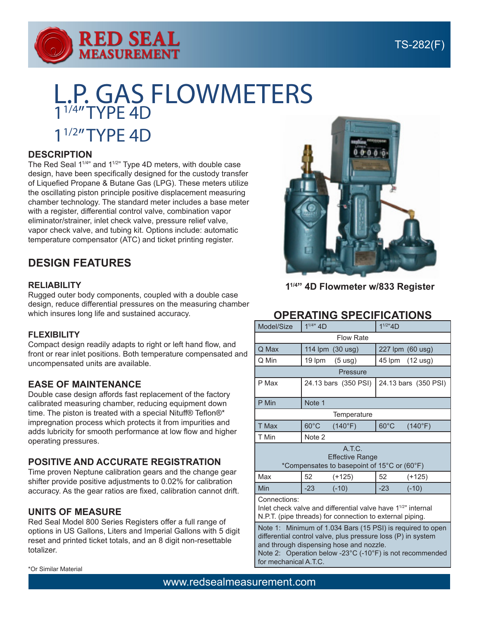

# L.P. GAS FLOWMETERS 11/4" TYPE 4D 11/2" TYPE 4D

#### **DESCRIPTION**

The Red Seal 11/4" and 11/2" Type 4D meters, with double case design, have been specifically designed for the custody transfer of Liquefied Propane & Butane Gas (LPG). These meters utilize the oscillating piston principle positive displacement measuring chamber technology. The standard meter includes a base meter with a register, differential control valve, combination vapor eliminator/strainer, inlet check valve, pressure relief valve, vapor check valve, and tubing kit. Options include: automatic temperature compensator (ATC) and ticket printing register.

# **DESIGN FEATURES**

#### **RELIABILITY**

Rugged outer body components, coupled with a double case design, reduce differential pressures on the measuring chamber which insures long life and sustained accuracy.

#### **FLEXIBILITY**

Compact design readily adapts to right or left hand flow, and front or rear inlet positions. Both temperature compensated and uncompensated units are available.

#### **EASE OF MAINTENANCE**

Double case design affords fast replacement of the factory calibrated measuring chamber, reducing equipment down time. The piston is treated with a special Nituff® Teflon®\* impregnation process which protects it from impurities and adds lubricity for smooth performance at low flow and higher operating pressures.

#### **POSITIVE AND ACCURATE REGISTRATION**

Time proven Neptune calibration gears and the change gear shifter provide positive adjustments to 0.02% for calibration accuracy. As the gear ratios are fixed, calibration cannot drift.

#### **UNITS OF MEASURE**

Red Seal Model 800 Series Registers offer a full range of options in US Gallons, Liters and Imperial Gallons with 5 digit reset and printed ticket totals, and an 8 digit non-resettable totalizer.



**11/4" 4D Flowmeter w/833 Register**

## **OPERATING SPECIFICATIONS**

| Model/Size                                                                                                                                                                                                                                       | $1^{1/4}$ 4D   |                      | $1^{1/2"4D}$         |                  |  |  |
|--------------------------------------------------------------------------------------------------------------------------------------------------------------------------------------------------------------------------------------------------|----------------|----------------------|----------------------|------------------|--|--|
| <b>Flow Rate</b>                                                                                                                                                                                                                                 |                |                      |                      |                  |  |  |
| Q Max                                                                                                                                                                                                                                            |                | 114 lpm (30 usg)     |                      | 227 lpm (60 usg) |  |  |
| Q Min                                                                                                                                                                                                                                            | 19 lpm         | $(5 \text{ usg})$    | 45 lpm               | $(12$ usg)       |  |  |
| Pressure                                                                                                                                                                                                                                         |                |                      |                      |                  |  |  |
| P Max                                                                                                                                                                                                                                            |                | 24.13 bars (350 PSI) | 24.13 bars (350 PSI) |                  |  |  |
| P Min                                                                                                                                                                                                                                            | Note 1         |                      |                      |                  |  |  |
| Temperature                                                                                                                                                                                                                                      |                |                      |                      |                  |  |  |
| T Max                                                                                                                                                                                                                                            | $60^{\circ}$ C | (140°F)              | $60^{\circ}$ C       | (140°F)          |  |  |
| T Min                                                                                                                                                                                                                                            | Note 2         |                      |                      |                  |  |  |
| A.T.C.<br><b>Effective Range</b><br>*Compensates to basepoint of 15°C or (60°F)                                                                                                                                                                  |                |                      |                      |                  |  |  |
| Max                                                                                                                                                                                                                                              | 52             | $(+125)$             | 52                   | $(+125)$         |  |  |
| Min                                                                                                                                                                                                                                              | $-23$          | $(-10)$              | $-23$                | $(-10)$          |  |  |
| Connections:<br>Inlet check valve and differential valve have 1 <sup>1/2"</sup> internal<br>N.P.T. (pipe threads) for connection to external piping.                                                                                             |                |                      |                      |                  |  |  |
| Note 1: Minimum of 1.034 Bars (15 PSI) is required to open<br>differential control valve, plus pressure loss (P) in system<br>and through dispensing hose and nozzle.<br>Note $\Omega$ . Openation below $\Omega^{00}$ (400F) is not recommended |                |                      |                      |                  |  |  |

Note 2: Operation below -23°C (-10°F) is not recommended for mechanical A.T.C.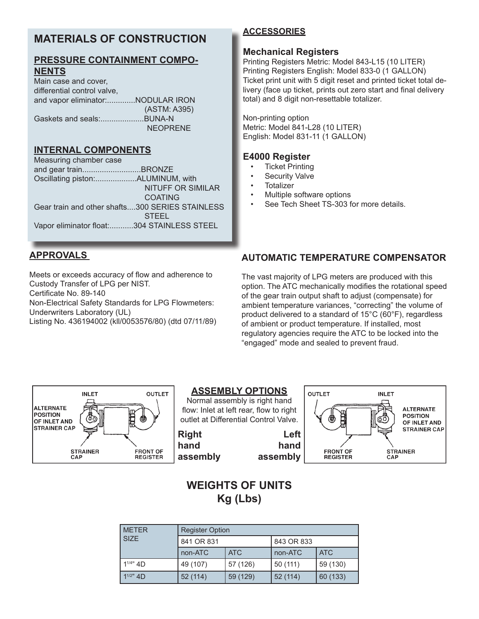# **MATERIALS OF CONSTRUCTION**

## **PRESSURE CONTAINMENT COMPO-NENTS**

Main case and cover, differential control valve, and vapor eliminator:.............NODULAR IRON (ASTM: A395) Gaskets and seals:....................BUNA-N NEOPRENE

#### **INTERNAL COMPONENTS**

Measuring chamber case and gear train...........................BRONZE Oscillating piston:...................ALUMINUM, with NITUFF OR SIMILAR COATING Gear train and other shafts....300 SERIES STAINLESS STEEL Vapor eliminator float:...........304 STAINLESS STEEL

## **APPROVALS**

Meets or exceeds accuracy of flow and adherence to Custody Transfer of LPG per NIST. Certificate No. 89-140

Non-Electrical Safety Standards for LPG Flowmeters:

Underwriters Laboratory (UL)

Listing No. 436194002 (kll/0053576/80) (dtd 07/11/89)

## **ACCESSORIES**

#### **Mechanical Registers**

Printing Registers Metric: Model 843-L15 (10 LITER) Printing Registers English: Model 833-0 (1 GALLON) Ticket print unit with 5 digit reset and printed ticket total delivery (face up ticket, prints out zero start and final delivery total) and 8 digit non-resettable totalizer.

Non-printing option Metric: Model 841-L28 (10 LITER) English: Model 831-11 (1 GALLON)

## **E4000 Register**

- **Ticket Printing**
- **Security Valve**
- **Totalizer**
- Multiple software options
- See Tech Sheet TS-303 for more details.

# **AUTOMATIC TEMPERATURE COMPENSATOR**

The vast majority of LPG meters are produced with this option. The ATC mechanically modifies the rotational speed of the gear train output shaft to adjust (compensate) for ambient temperature variances, "correcting" the volume of product delivered to a standard of 15°C (60°F), regardless of ambient or product temperature. If installed, most regulatory agencies require the ATC to be locked into the "engaged" mode and sealed to prevent fraud.



#### **ASSEMBLY OPTIONS**

Normal assembly is right hand flow: Inlet at left rear, flow to right outlet at Differential Control Valve.





# **WEIGHTS OF UNITS Kg (Lbs)**

| <b>METER</b><br><b>SIZE</b> | <b>Register Option</b> |            |            |            |  |  |
|-----------------------------|------------------------|------------|------------|------------|--|--|
|                             | 841 OR 831             |            | 843 OR 833 |            |  |  |
|                             | non-ATC                | <b>ATC</b> | non-ATC    | <b>ATC</b> |  |  |
| $1^{1/4"$ 4D                | 49 (107)               | 57 (126)   | 50 (111)   | 59 (130)   |  |  |
| $1^{1/2}$ 4D                | 52(114)                | 59 (129)   | 52(114)    | 60 (133)   |  |  |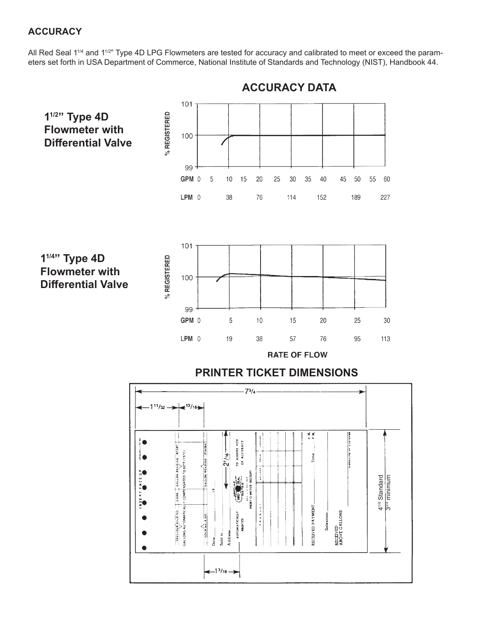## **ACCURACY**

All Red Seal 1<sup>1/4</sup> and 1<sup>1/2</sup>" Type 4D LPG Flowmeters are tested for accuracy and calibrated to meet or exceed the parameters set forth in USA Department of Commerce, National Institute of Standards and Technology (NIST), Handbook 44.